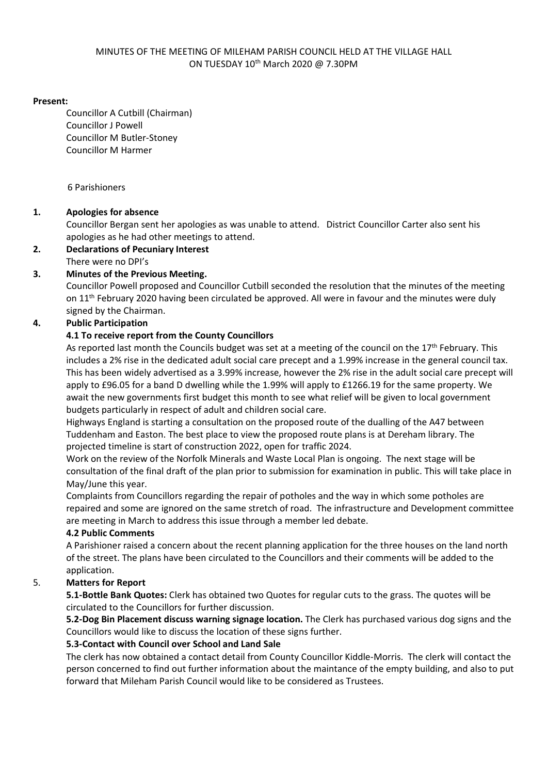#### **Present:**

Councillor A Cutbill (Chairman) Councillor J Powell Councillor M Butler-Stoney Councillor M Harmer

6 Parishioners

#### **1. Apologies for absence**

Councillor Bergan sent her apologies as was unable to attend. District Councillor Carter also sent his apologies as he had other meetings to attend.

#### **2. Declarations of Pecuniary Interest** There were no DPI's

#### **3. Minutes of the Previous Meeting.**

Councillor Powell proposed and Councillor Cutbill seconded the resolution that the minutes of the meeting on 11th February 2020 having been circulated be approved. All were in favour and the minutes were duly signed by the Chairman.

#### **4. Public Participation**

#### **4.1 To receive report from the County Councillors**

As reported last month the Councils budget was set at a meeting of the council on the  $17<sup>th</sup>$  February. This includes a 2% rise in the dedicated adult social care precept and a 1.99% increase in the general council tax. This has been widely advertised as a 3.99% increase, however the 2% rise in the adult social care precept will apply to £96.05 for a band D dwelling while the 1.99% will apply to £1266.19 for the same property. We await the new governments first budget this month to see what relief will be given to local government budgets particularly in respect of adult and children social care.

Highways England is starting a consultation on the proposed route of the dualling of the A47 between Tuddenham and Easton. The best place to view the proposed route plans is at Dereham library. The projected timeline is start of construction 2022, open for traffic 2024.

Work on the review of the Norfolk Minerals and Waste Local Plan is ongoing. The next stage will be consultation of the final draft of the plan prior to submission for examination in public. This will take place in May/June this year.

Complaints from Councillors regarding the repair of potholes and the way in which some potholes are repaired and some are ignored on the same stretch of road. The infrastructure and Development committee are meeting in March to address this issue through a member led debate.

#### **4.2 Public Comments**

A Parishioner raised a concern about the recent planning application for the three houses on the land north of the street. The plans have been circulated to the Councillors and their comments will be added to the application.

#### 5. **Matters for Report**

**5.1-Bottle Bank Quotes:** Clerk has obtained two Quotes for regular cuts to the grass. The quotes will be circulated to the Councillors for further discussion.

**5.2-Dog Bin Placement discuss warning signage location.** The Clerk has purchased various dog signs and the Councillors would like to discuss the location of these signs further.

#### **5.3-Contact with Council over School and Land Sale**

The clerk has now obtained a contact detail from County Councillor Kiddle-Morris. The clerk will contact the person concerned to find out further information about the maintance of the empty building, and also to put forward that Mileham Parish Council would like to be considered as Trustees.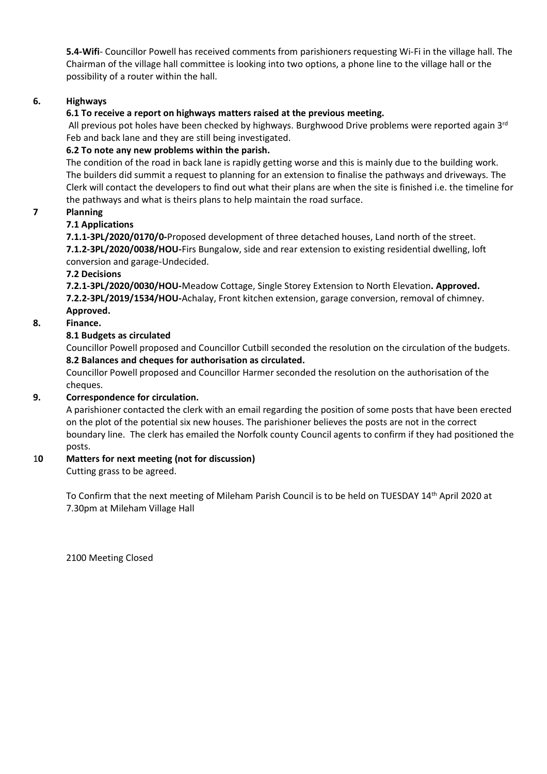**5.4-Wifi**- Councillor Powell has received comments from parishioners requesting Wi-Fi in the village hall. The Chairman of the village hall committee is looking into two options, a phone line to the village hall or the possibility of a router within the hall.

#### **6. Highways**

### **6.1 To receive a report on highways matters raised at the previous meeting.**

All previous pot holes have been checked by highways. Burghwood Drive problems were reported again 3<sup>rd</sup> Feb and back lane and they are still being investigated.

### **6.2 To note any new problems within the parish.**

The condition of the road in back lane is rapidly getting worse and this is mainly due to the building work. The builders did summit a request to planning for an extension to finalise the pathways and driveways. The Clerk will contact the developers to find out what their plans are when the site is finished i.e. the timeline for the pathways and what is theirs plans to help maintain the road surface.

#### **7 Planning**

#### **7.1 Applications**

**7.1.1-3PL/2020/0170/0-**Proposed development of three detached houses, Land north of the street. **7.1.2-3PL/2020/0038/HOU-**Firs Bungalow, side and rear extension to existing residential dwelling, loft conversion and garage-Undecided.

#### **7.2 Decisions**

**7.2.1-3PL/2020/0030/HOU-**Meadow Cottage, Single Storey Extension to North Elevation**. Approved. 7.2.2-3PL/2019/1534/HOU-**Achalay, Front kitchen extension, garage conversion, removal of chimney. **Approved.**

#### **8. Finance.**

#### **8.1 Budgets as circulated**

Councillor Powell proposed and Councillor Cutbill seconded the resolution on the circulation of the budgets. **8.2 Balances and cheques for authorisation as circulated.**

Councillor Powell proposed and Councillor Harmer seconded the resolution on the authorisation of the cheques.

#### **9. Correspondence for circulation.**

A parishioner contacted the clerk with an email regarding the position of some posts that have been erected on the plot of the potential six new houses. The parishioner believes the posts are not in the correct boundary line. The clerk has emailed the Norfolk county Council agents to confirm if they had positioned the posts.

#### 1**0 Matters for next meeting (not for discussion)**

Cutting grass to be agreed.

To Confirm that the next meeting of Mileham Parish Council is to be held on TUESDAY 14th April 2020 at 7.30pm at Mileham Village Hall

2100 Meeting Closed